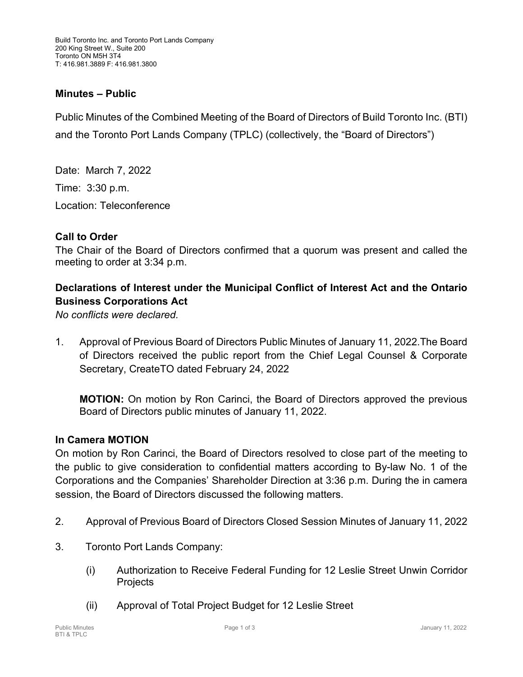### **Minutes – Public**

Public Minutes of the Combined Meeting of the Board of Directors of Build Toronto Inc. (BTI) and the Toronto Port Lands Company (TPLC) (collectively, the "Board of Directors")

Date: March 7, 2022 Time: 3:30 p.m. Location: Teleconference

#### **Call to Order**

The Chair of the Board of Directors confirmed that a quorum was present and called the meeting to order at 3:34 p.m.

# **Declarations of Interest under the Municipal Conflict of Interest Act and the Ontario Business Corporations Act**

*No conflicts were declared.*

1. Approval of Previous Board of Directors Public Minutes of January 11, 2022.The Board of Directors received the public report from the Chief Legal Counsel & Corporate Secretary, CreateTO dated February 24, 2022

**MOTION:** On motion by Ron Carinci, the Board of Directors approved the previous Board of Directors public minutes of January 11, 2022.

#### **In Camera MOTION**

On motion by Ron Carinci, the Board of Directors resolved to close part of the meeting to the public to give consideration to confidential matters according to By-law No. 1 of the Corporations and the Companies' Shareholder Direction at 3:36 p.m. During the in camera session, the Board of Directors discussed the following matters.

- 2. Approval of Previous Board of Directors Closed Session Minutes of January 11, 2022
- 3. Toronto Port Lands Company:
	- (i) Authorization to Receive Federal Funding for 12 Leslie Street Unwin Corridor **Projects**
	- (ii) Approval of Total Project Budget for 12 Leslie Street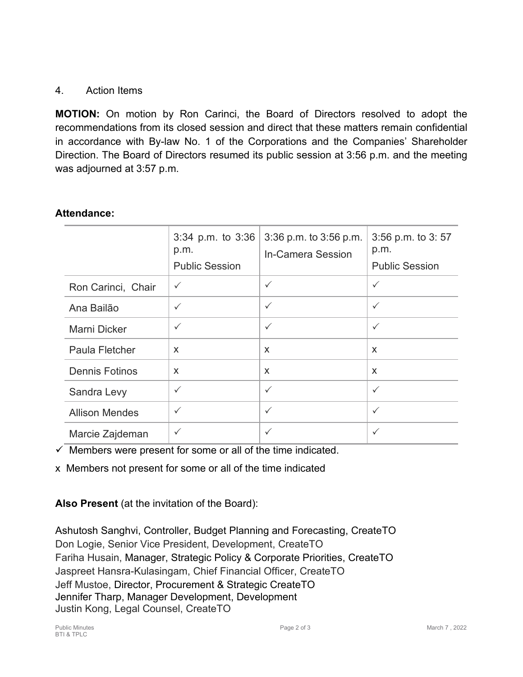## 4. Action Items

**MOTION:** On motion by Ron Carinci, the Board of Directors resolved to adopt the recommendations from its closed session and direct that these matters remain confidential in accordance with By-law No. 1 of the Corporations and the Companies' Shareholder Direction. The Board of Directors resumed its public session at 3:56 p.m. and the meeting was adjourned at 3:57 p.m.

### **Attendance:**

|                       | $3:34$ p.m. to $3:36$<br>p.m.<br><b>Public Session</b> | 3:36 p.m. to 3:56 p.m.<br><b>In-Camera Session</b> | 3:56 p.m. to 3:57<br>p.m.<br><b>Public Session</b> |
|-----------------------|--------------------------------------------------------|----------------------------------------------------|----------------------------------------------------|
| Ron Carinci, Chair    | $\checkmark$                                           | $\checkmark$                                       | $\checkmark$                                       |
| Ana Bailão            | $\checkmark$                                           | $\checkmark$                                       | $\checkmark$                                       |
| <b>Marni Dicker</b>   | $\checkmark$                                           | $\checkmark$                                       | $\checkmark$                                       |
| Paula Fletcher        | X                                                      | X                                                  | X                                                  |
| <b>Dennis Fotinos</b> | X                                                      | X                                                  | X                                                  |
| Sandra Levy           | $\checkmark$                                           | $\checkmark$                                       | $\checkmark$                                       |
| <b>Allison Mendes</b> | $\checkmark$                                           | $\checkmark$                                       | $\checkmark$                                       |
| Marcie Zajdeman       | $\checkmark$                                           | $\checkmark$                                       | $\checkmark$                                       |

 $\checkmark$  Members were present for some or all of the time indicated.

x Members not present for some or all of the time indicated

**Also Present** (at the invitation of the Board):

Ashutosh Sanghvi, Controller, Budget Planning and Forecasting, CreateTO Don Logie, Senior Vice President, Development, CreateTO Fariha Husain, Manager, Strategic Policy & Corporate Priorities, CreateTO Jaspreet Hansra-Kulasingam, Chief Financial Officer, CreateTO Jeff Mustoe, Director, Procurement & Strategic CreateTO Jennifer Tharp, Manager Development, Development Justin Kong, Legal Counsel, CreateTO